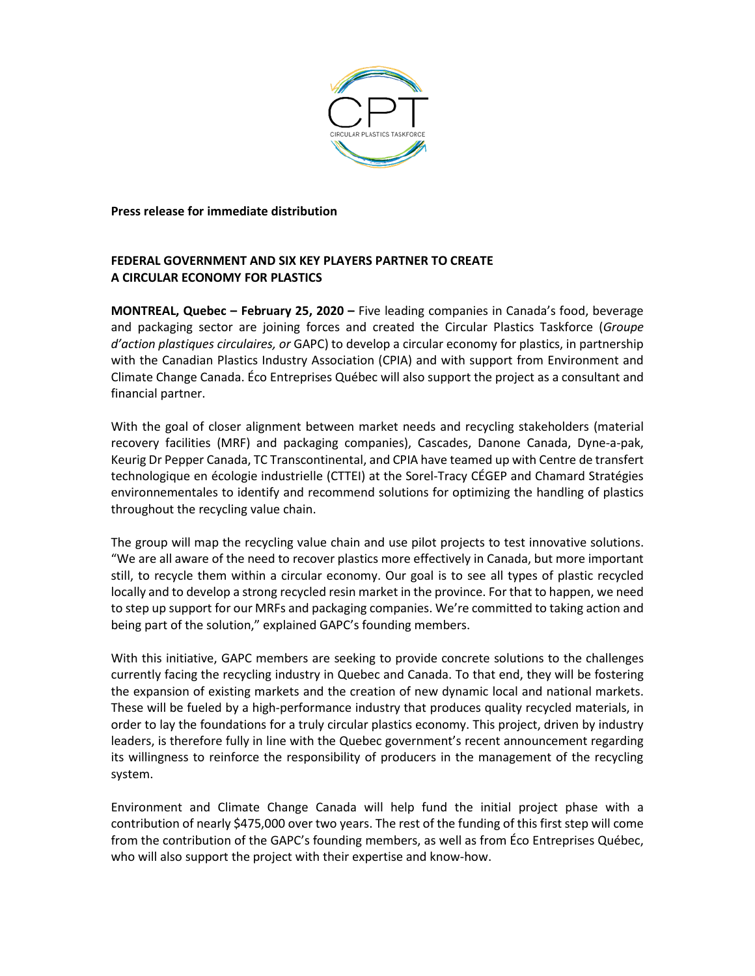

**Press release for immediate distribution**

# **FEDERAL GOVERNMENT AND SIX KEY PLAYERS PARTNER TO CREATE A CIRCULAR ECONOMY FOR PLASTICS**

**MONTREAL, Quebec – February 25, 2020 –** Five leading companies in Canada's food, beverage and packaging sector are joining forces and created the Circular Plastics Taskforce (*Groupe d'action plastiques circulaires, or* GAPC) to develop a circular economy for plastics, in partnership with the Canadian Plastics Industry Association (CPIA) and with support from Environment and Climate Change Canada. Éco Entreprises Québec will also support the project as a consultant and financial partner.

With the goal of closer alignment between market needs and recycling stakeholders (material recovery facilities (MRF) and packaging companies), Cascades, Danone Canada, Dyne-a-pak, Keurig Dr Pepper Canada, TC Transcontinental, and CPIA have teamed up with Centre de transfert technologique en écologie industrielle (CTTEI) at the Sorel-Tracy CÉGEP and Chamard Stratégies environnementales to identify and recommend solutions for optimizing the handling of plastics throughout the recycling value chain.

The group will map the recycling value chain and use pilot projects to test innovative solutions. "We are all aware of the need to recover plastics more effectively in Canada, but more important still, to recycle them within a circular economy. Our goal is to see all types of plastic recycled locally and to develop a strong recycled resin market in the province. For that to happen, we need to step up support for our MRFs and packaging companies. We're committed to taking action and being part of the solution," explained GAPC's founding members.

With this initiative, GAPC members are seeking to provide concrete solutions to the challenges currently facing the recycling industry in Quebec and Canada. To that end, they will be fostering the expansion of existing markets and the creation of new dynamic local and national markets. These will be fueled by a high-performance industry that produces quality recycled materials, in order to lay the foundations for a truly circular plastics economy. This project, driven by industry leaders, is therefore fully in line with the Quebec government's recent announcement regarding its willingness to reinforce the responsibility of producers in the management of the recycling system.

Environment and Climate Change Canada will help fund the initial project phase with a contribution of nearly \$475,000 over two years. The rest of the funding of this first step will come from the contribution of the GAPC's founding members, as well as from Éco Entreprises Québec, who will also support the project with their expertise and know-how.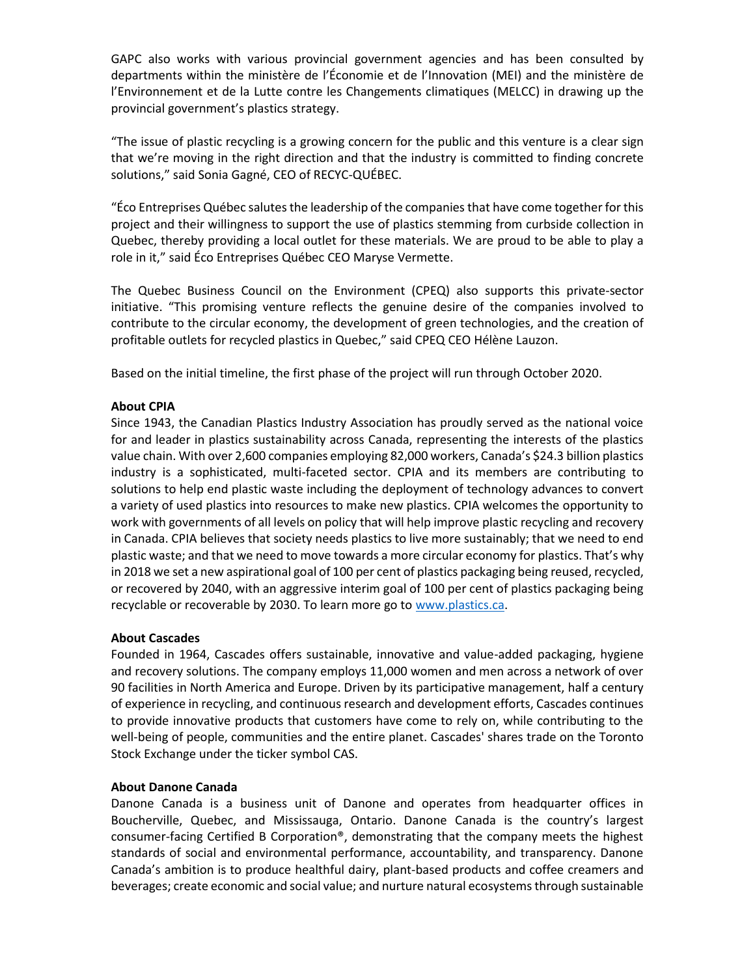GAPC also works with various provincial government agencies and has been consulted by departments within the ministère de l'Économie et de l'Innovation (MEI) and the ministère de l'Environnement et de la Lutte contre les Changements climatiques (MELCC) in drawing up the provincial government's plastics strategy.

"The issue of plastic recycling is a growing concern for the public and this venture is a clear sign that we're moving in the right direction and that the industry is committed to finding concrete solutions," said Sonia Gagné, CEO of RECYC-QUÉBEC.

"Éco Entreprises Québec salutes the leadership of the companies that have come together for this project and their willingness to support the use of plastics stemming from curbside collection in Quebec, thereby providing a local outlet for these materials. We are proud to be able to play a role in it," said Éco Entreprises Québec CEO Maryse Vermette.

The Quebec Business Council on the Environment (CPEQ) also supports this private-sector initiative. "This promising venture reflects the genuine desire of the companies involved to contribute to the circular economy, the development of green technologies, and the creation of profitable outlets for recycled plastics in Quebec," said CPEQ CEO Hélène Lauzon.

Based on the initial timeline, the first phase of the project will run through October 2020.

# **About CPIA**

Since 1943, the Canadian Plastics Industry Association has proudly served as the national voice for and leader in plastics sustainability across Canada, representing the interests of the plastics value chain. With over 2,600 companies employing 82,000 workers, Canada's \$24.3 billion plastics industry is a sophisticated, multi-faceted sector. CPIA and its members are contributing to solutions to help end plastic waste including the deployment of technology advances to convert a variety of used plastics into resources to make new plastics. CPIA welcomes the opportunity to work with governments of all levels on policy that will help improve plastic recycling and recovery in Canada. CPIA believes that society needs plastics to live more sustainably; that we need to end plastic waste; and that we need to move towards a more circular economy for plastics. That's why in 2018 we set a new aspirational goal of 100 per cent of plastics packaging being reused, recycled, or recovered by 2040, with an aggressive interim goal of 100 per cent of plastics packaging being recyclable or recoverable by 2030. To learn more go to [www.plastics.ca.](http://www.plastics.ca/)

## **About Cascades**

Founded in 1964, Cascades offers sustainable, innovative and value-added packaging, hygiene and recovery solutions. The company employs 11,000 women and men across a network of over 90 facilities in North America and Europe. Driven by its participative management, half a century of experience in recycling, and continuous research and development efforts, Cascades continues to provide innovative products that customers have come to rely on, while contributing to the well-being of people, communities and the entire planet. Cascades' shares trade on the Toronto Stock Exchange under the ticker symbol CAS.

## **About Danone Canada**

Danone Canada is a business unit of Danone and operates from headquarter offices in Boucherville, Quebec, and Mississauga, Ontario. Danone Canada is the country's largest consumer-facing Certified B Corporation®, demonstrating that the company meets the highest standards of social and environmental performance, accountability, and transparency. Danone Canada's ambition is to produce healthful dairy, plant-based products and coffee creamers and beverages; create economic and social value; and nurture natural ecosystems through sustainable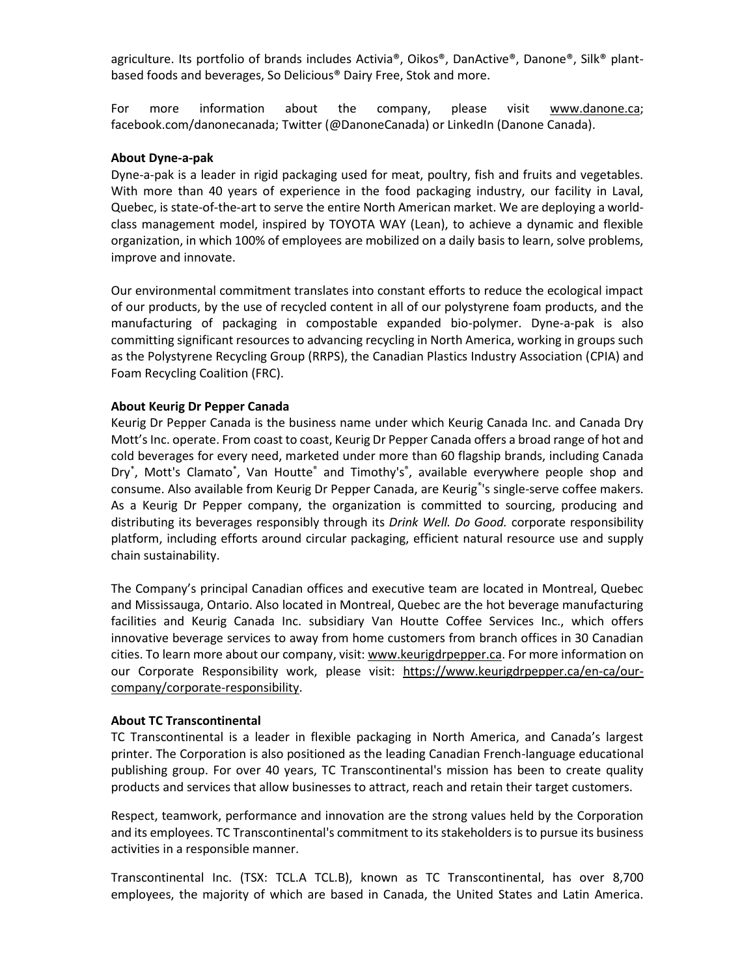agriculture. Its portfolio of brands includes Activia®, Oikos®, DanActive®, Danone®, Silk® plantbased foods and beverages, So Delicious® Dairy Free, Stok and more.

For more information about the company, please visit [www.danone.ca;](https://urldefense.proofpoint.com/v2/url?u=http-3A__www.danone.ca&d=DwMFAA&c=3y1B2TnYhInKhFezQPec9g&r=sre2rlZxP62PbgDZh1ZnOYV4DA8xPWP8fGeFHrSL1hao5KGLWYiKI-37gEIrwGNY&m=hC7_tp8eEePJ_W9Xyq4AYugk6YZ-U3GX6wZOEveqN6c&s=o00damJ9Qziv5KGWicMjx0qkLBLpOoK2vqYmFRehKIU&e=) facebook.com/danonecanada; Twitter (@DanoneCanada) or LinkedIn (Danone Canada).

#### **About Dyne-a-pak**

Dyne-a-pak is a leader in rigid packaging used for meat, poultry, fish and fruits and vegetables. With more than 40 years of experience in the food packaging industry, our facility in Laval, Quebec, is state-of-the-art to serve the entire North American market. We are deploying a worldclass management model, inspired by TOYOTA WAY (Lean), to achieve a dynamic and flexible organization, in which 100% of employees are mobilized on a daily basis to learn, solve problems, improve and innovate.

Our environmental commitment translates into constant efforts to reduce the ecological impact of our products, by the use of recycled content in all of our polystyrene foam products, and the manufacturing of packaging in compostable expanded bio-polymer. Dyne-a-pak is also committing significant resources to advancing recycling in North America, working in groups such as the Polystyrene Recycling Group (RRPS), the Canadian Plastics Industry Association (CPIA) and Foam Recycling Coalition (FRC).

#### **About Keurig Dr Pepper Canada**

Keurig Dr Pepper Canada is the business name under which Keurig Canada Inc. and Canada Dry Mott's Inc. operate. From coast to coast, Keurig Dr Pepper Canada offers a broad range of hot and cold beverages for every need, marketed under more than 60 flagship brands, including Canada Dry<sup>\*</sup>, Mott's Clamato<sup>\*</sup>, Van Houtte<sup>®</sup> and Timothy's<sup>®</sup>, available everywhere people shop and consume. Also available from Keurig Dr Pepper Canada, are Keurig<sup>®</sup>'s single-serve coffee makers. As a Keurig Dr Pepper company, the organization is committed to sourcing, producing and distributing its beverages responsibly through its *Drink Well. Do Good.* corporate responsibility platform, including efforts around circular packaging, efficient natural resource use and supply chain sustainability.

The Company's principal Canadian offices and executive team are located in Montreal, Quebec and Mississauga, Ontario. Also located in Montreal, Quebec are the hot beverage manufacturing facilities and Keurig Canada Inc. subsidiary Van Houtte Coffee Services Inc., which offers innovative beverage services to away from home customers from branch offices in 30 Canadian cities. To learn more about our company, visit[: www.keurigdrpepper.ca.](http://www.keurigdrpepper.com/) For more information on our Corporate Responsibility work, please visit: [https://www.keurigdrpepper.ca/en-ca/our](https://www.keurigdrpepper.ca/en-ca/our-company/corporate-responsibility)[company/corporate-responsibility.](https://www.keurigdrpepper.ca/en-ca/our-company/corporate-responsibility)

#### **About TC Transcontinental**

TC Transcontinental is a leader in flexible packaging in North America, and Canada's largest printer. The Corporation is also positioned as the leading Canadian French-language educational publishing group. For over 40 years, TC Transcontinental's mission has been to create quality products and services that allow businesses to attract, reach and retain their target customers.

Respect, teamwork, performance and innovation are the strong values held by the Corporation and its employees. TC Transcontinental's commitment to its stakeholders is to pursue its business activities in a responsible manner.

Transcontinental Inc. (TSX: TCL.A TCL.B), known as TC Transcontinental, has over 8,700 employees, the majority of which are based in Canada, the United States and Latin America.